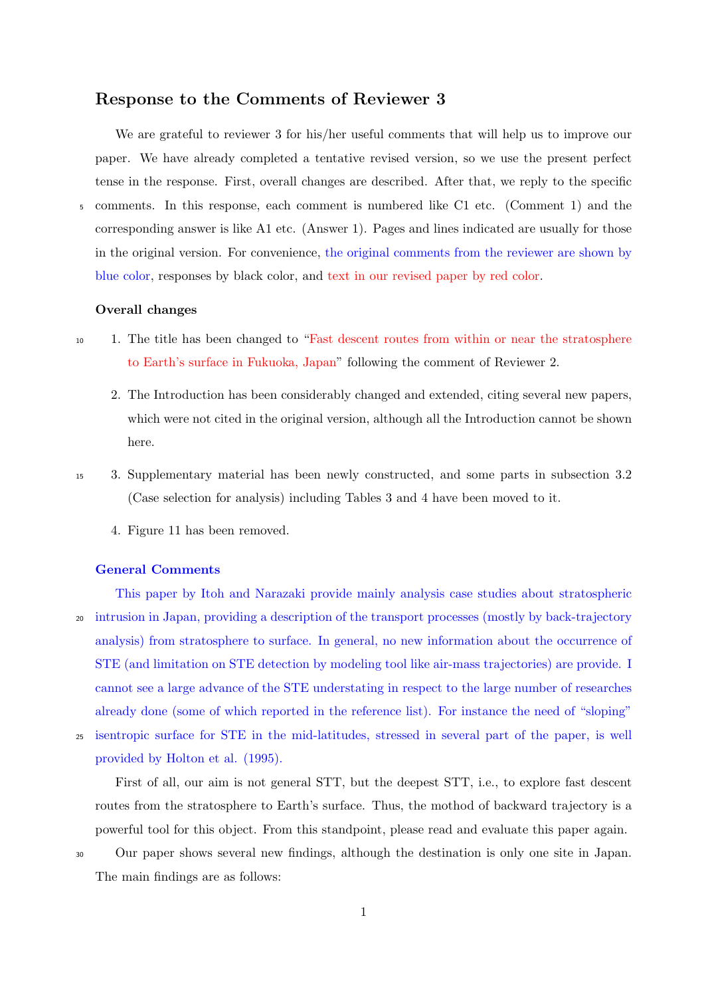## **Response to the Comments of Reviewer 3**

We are grateful to reviewer 3 for his/her useful comments that will help us to improve our paper. We have already completed a tentative revised version, so we use the present perfect tense in the response. First, overall changes are described. After that, we reply to the specific <sup>5</sup> comments. In this response, each comment is numbered like C1 etc. (Comment 1) and the corresponding answer is like A1 etc. (Answer 1). Pages and lines indicated are usually for those in the original version. For convenience, the original comments from the reviewer are shown by blue color, responses by black color, and text in our revised paper by red color.

## **Overall changes**

- <sup>10</sup> 1. The title has been changed to "Fast descent routes from within or near the stratosphere to Earth's surface in Fukuoka, Japan" following the comment of Reviewer 2.
	- 2. The Introduction has been considerably changed and extended, citing several new papers, which were not cited in the original version, although all the Introduction cannot be shown here.
- <sup>15</sup> 3. Supplementary material has been newly constructed, and some parts in subsection 3.2 (Case selection for analysis) including Tables 3 and 4 have been moved to it.
	- 4. Figure 11 has been removed.

## **General Comments**

This paper by Itoh and Narazaki provide mainly analysis case studies about stratospheric <sup>20</sup> intrusion in Japan, providing a description of the transport processes (mostly by back-trajectory analysis) from stratosphere to surface. In general, no new information about the occurrence of STE (and limitation on STE detection by modeling tool like air-mass trajectories) are provide. I cannot see a large advance of the STE understating in respect to the large number of researches already done (some of which reported in the reference list). For instance the need of "sloping"

<sup>25</sup> isentropic surface for STE in the mid-latitudes, stressed in several part of the paper, is well provided by Holton et al. (1995).

First of all, our aim is not general STT, but the deepest STT, i.e., to explore fast descent routes from the stratosphere to Earth's surface. Thus, the mothod of backward trajectory is a powerful tool for this object. From this standpoint, please read and evaluate this paper again.

<sup>30</sup> Our paper shows several new findings, although the destination is only one site in Japan. The main findings are as follows: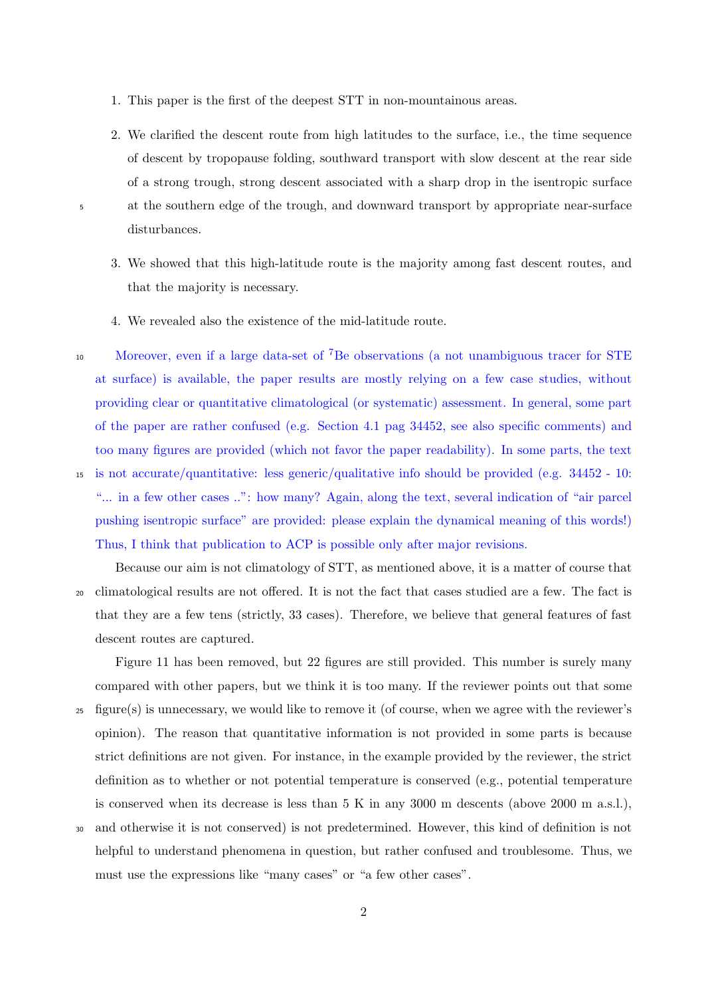- 1. This paper is the first of the deepest STT in non-mountainous areas.
- 2. We clarified the descent route from high latitudes to the surface, i.e., the time sequence of descent by tropopause folding, southward transport with slow descent at the rear side of a strong trough, strong descent associated with a sharp drop in the isentropic surface <sup>5</sup> at the southern edge of the trough, and downward transport by appropriate near-surface disturbances.
	- 3. We showed that this high-latitude route is the majority among fast descent routes, and that the majority is necessary.
	- 4. We revealed also the existence of the mid-latitude route.
- 10 Moreover, even if a large data-set of <sup>7</sup>Be observations (a not unambiguous tracer for STE at surface) is available, the paper results are mostly relying on a few case studies, without providing clear or quantitative climatological (or systematic) assessment. In general, some part of the paper are rather confused (e.g. Section 4.1 pag 34452, see also specific comments) and too many figures are provided (which not favor the paper readability). In some parts, the text <sup>15</sup> is not accurate/quantitative: less generic/qualitative info should be provided (e.g. 34452 - 10:

"... in a few other cases ..": how many? Again, along the text, several indication of "air parcel pushing isentropic surface" are provided: please explain the dynamical meaning of this words!) Thus, I think that publication to ACP is possible only after major revisions.

Because our aim is not climatology of STT, as mentioned above, it is a matter of course that <sup>20</sup> climatological results are not offered. It is not the fact that cases studied are a few. The fact is that they are a few tens (strictly, 33 cases). Therefore, we believe that general features of fast descent routes are captured.

Figure 11 has been removed, but 22 figures are still provided. This number is surely many compared with other papers, but we think it is too many. If the reviewer points out that some <sup>25</sup> figure(s) is unnecessary, we would like to remove it (of course, when we agree with the reviewer's opinion). The reason that quantitative information is not provided in some parts is because strict definitions are not given. For instance, in the example provided by the reviewer, the strict definition as to whether or not potential temperature is conserved (e.g., potential temperature is conserved when its decrease is less than 5 K in any 3000 m descents (above 2000 m a.s.l.),

<sup>30</sup> and otherwise it is not conserved) is not predetermined. However, this kind of definition is not helpful to understand phenomena in question, but rather confused and troublesome. Thus, we must use the expressions like "many cases" or "a few other cases".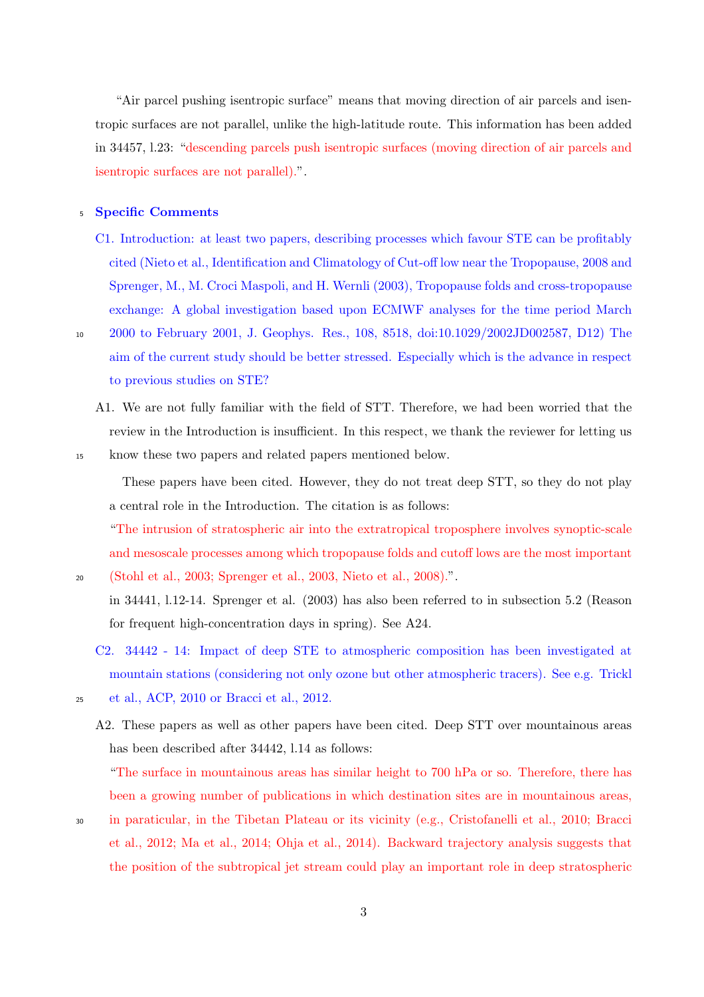"Air parcel pushing isentropic surface" means that moving direction of air parcels and isentropic surfaces are not parallel, unlike the high-latitude route. This information has been added in 34457, l.23: "descending parcels push isentropic surfaces (moving direction of air parcels and isentropic surfaces are not parallel).".

## <sup>5</sup> **Specific Comments**

- C1. Introduction: at least two papers, describing processes which favour STE can be profitably cited (Nieto et al., Identification and Climatology of Cut-off low near the Tropopause, 2008 and Sprenger, M., M. Croci Maspoli, and H. Wernli (2003), Tropopause folds and cross-tropopause exchange: A global investigation based upon ECMWF analyses for the time period March
- 

<sup>10</sup> 2000 to February 2001, J. Geophys. Res., 108, 8518, doi:10.1029/2002JD002587, D12) The aim of the current study should be better stressed. Especially which is the advance in respect to previous studies on STE?

A1. We are not fully familiar with the field of STT. Therefore, we had been worried that the review in the Introduction is insufficient. In this respect, we thank the reviewer for letting us

<sup>15</sup> know these two papers and related papers mentioned below.

These papers have been cited. However, they do not treat deep STT, so they do not play a central role in the Introduction. The citation is as follows:

"The intrusion of stratospheric air into the extratropical troposphere involves synoptic-scale and mesoscale processes among which tropopause folds and cutoff lows are the most important <sup>20</sup> (Stohl et al., 2003; Sprenger et al., 2003, Nieto et al., 2008).".

in 34441, l.12-14. Sprenger et al. (2003) has also been referred to in subsection 5.2 (Reason for frequent high-concentration days in spring). See A24.

- C2. 34442 14: Impact of deep STE to atmospheric composition has been investigated at mountain stations (considering not only ozone but other atmospheric tracers). See e.g. Trickl
- 

<sup>25</sup> et al., ACP, 2010 or Bracci et al., 2012.

A2. These papers as well as other papers have been cited. Deep STT over mountainous areas has been described after 34442, l.14 as follows:

"The surface in mountainous areas has similar height to 700 hPa or so. Therefore, there has been a growing number of publications in which destination sites are in mountainous areas,

<sup>30</sup> in paraticular, in the Tibetan Plateau or its vicinity (e.g., Cristofanelli et al., 2010; Bracci et al., 2012; Ma et al., 2014; Ohja et al., 2014). Backward trajectory analysis suggests that the position of the subtropical jet stream could play an important role in deep stratospheric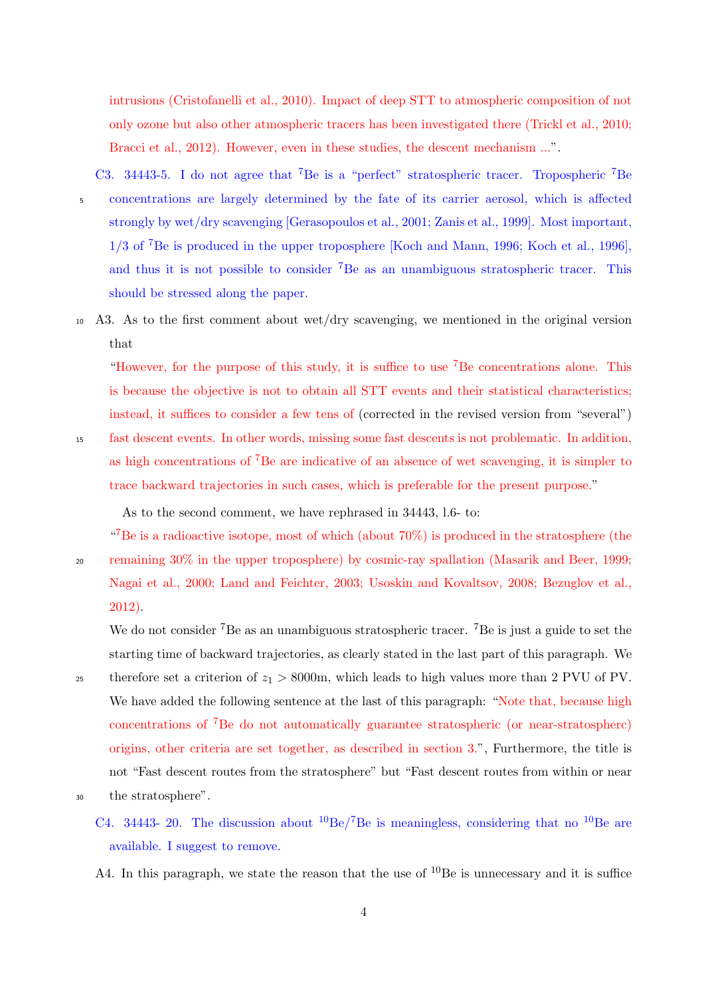intrusions (Cristofanelli et al., 2010). Impact of deep STT to atmospheric composition of not only ozone but also other atmospheric tracers has been investigated there (Trickl et al., 2010; Bracci et al., 2012). However, even in these studies, the descent mechanism ...".

C3. 34443-5. I do not agree that <sup>7</sup>Be is a "perfect" stratospheric tracer. Tropospheric <sup>7</sup>Be <sup>5</sup> concentrations are largely determined by the fate of its carrier aerosol, which is affected strongly by wet/dry scavenging [Gerasopoulos et al., 2001; Zanis et al., 1999]. Most important, 1/3 of <sup>7</sup>Be is produced in the upper troposphere [Koch and Mann, 1996; Koch et al., 1996], and thus it is not possible to consider <sup>7</sup>Be as an unambiguous stratospheric tracer. This should be stressed along the paper.

<sup>10</sup> A3. As to the first comment about wet/dry scavenging, we mentioned in the original version that

"However, for the purpose of this study, it is suffice to use  ${}^{7}$ Be concentrations alone. This is because the objective is not to obtain all STT events and their statistical characteristics; instead, it suffices to consider a few tens of (corrected in the revised version from "several") <sup>15</sup> fast descent events. In other words, missing some fast descents is not problematic. In addition, as high concentrations of  ${}^{7}Be$  are indicative of an absence of wet scavenging, it is simpler to trace backward trajectories in such cases, which is preferable for the present purpose."

As to the second comment, we have rephrased in 34443, l.6- to:

"<sup>7</sup>Be is a radioactive isotope, most of which (about  $70\%$ ) is produced in the stratosphere (the

<sup>20</sup> remaining 30% in the upper troposphere) by cosmic-ray spallation (Masarik and Beer, 1999; Nagai et al., 2000; Land and Feichter, 2003; Usoskin and Kovaltsov, 2008; Bezuglov et al., 2012).

We do not consider <sup>7</sup>Be as an unambiguous stratospheric tracer. <sup>7</sup>Be is just a guide to set the starting time of backward trajectories, as clearly stated in the last part of this paragraph. We <sup>25</sup> therefore set a criterion of  $z_1 > 8000$ m, which leads to high values more than 2 PVU of PV. We have added the following sentence at the last of this paragraph: "Note that, because high concentrations of <sup>7</sup>Be do not automatically guarantee stratospheric (or near-stratospherc) origins, other criteria are set together, as described in section 3.", Furthermore, the title is not "Fast descent routes from the stratosphere" but "Fast descent routes from within or near <sup>30</sup> the stratosphere".

- C4. 34443- 20. The discussion about  ${}^{10}$ Be/<sup>7</sup>Be is meaningless, considering that no  ${}^{10}$ Be are available. I suggest to remove.
- A4. In this paragraph, we state the reason that the use of  $^{10}$ Be is unnecessary and it is suffice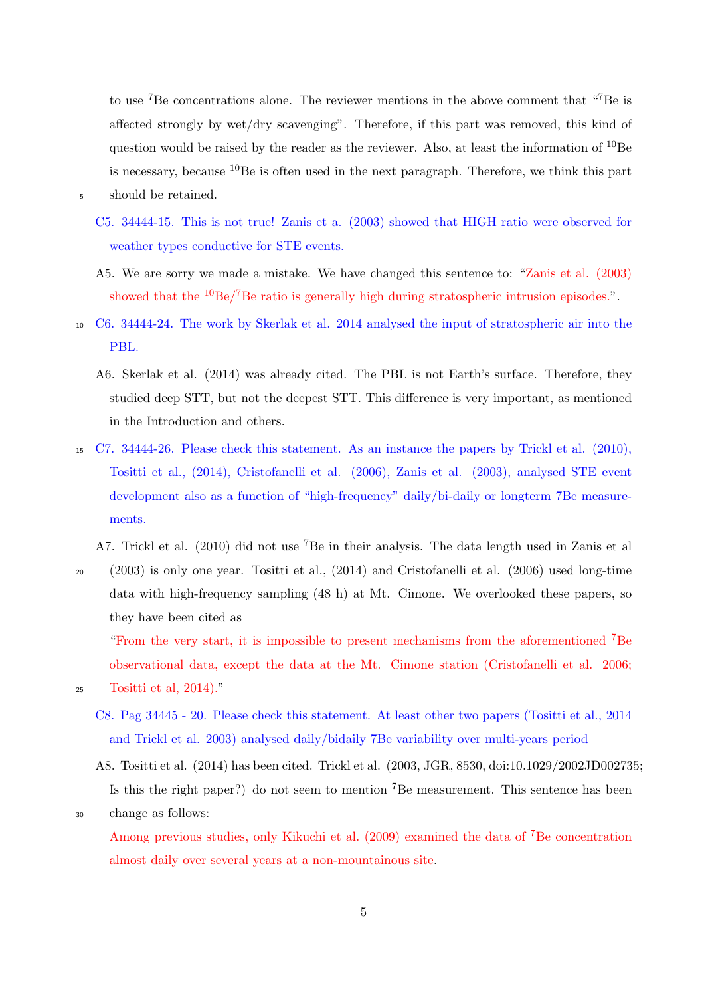to use <sup>7</sup>Be concentrations alone. The reviewer mentions in the above comment that "7Be is affected strongly by wet/dry scavenging". Therefore, if this part was removed, this kind of question would be raised by the reader as the reviewer. Also, at least the information of  $^{10}$ Be is necessary, because  $^{10}$ Be is often used in the next paragraph. Therefore, we think this part

<sup>5</sup> should be retained.

- C5. 34444-15. This is not true! Zanis et a. (2003) showed that HIGH ratio were observed for weather types conductive for STE events.
- A5. We are sorry we made a mistake. We have changed this sentence to: "Zanis et al. (2003) showed that the  ${}^{10}$ Be/<sup>7</sup>Be ratio is generally high during stratospheric intrusion episodes.".
- <sup>10</sup> C6. 34444-24. The work by Skerlak et al. 2014 analysed the input of stratospheric air into the PBL.
	- A6. Skerlak et al. (2014) was already cited. The PBL is not Earth's surface. Therefore, they studied deep STT, but not the deepest STT. This difference is very important, as mentioned in the Introduction and others.
- <sup>15</sup> C7. 34444-26. Please check this statement. As an instance the papers by Trickl et al. (2010), Tositti et al., (2014), Cristofanelli et al. (2006), Zanis et al. (2003), analysed STE event development also as a function of "high-frequency" daily/bi-daily or longterm 7Be measurements.

A7. Trickl et al. (2010) did not use <sup>7</sup>Be in their analysis. The data length used in Zanis et al

<sup>20</sup> (2003) is only one year. Tositti et al., (2014) and Cristofanelli et al. (2006) used long-time data with high-frequency sampling (48 h) at Mt. Cimone. We overlooked these papers, so they have been cited as

"From the very start, it is impossible to present mechanisms from the aforementioned <sup>7</sup>Be observational data, except the data at the Mt. Cimone station (Cristofanelli et al. 2006;

<sup>25</sup> Tositti et al, 2014)."

C8. Pag 34445 - 20. Please check this statement. At least other two papers (Tositti et al., 2014 and Trickl et al. 2003) analysed daily/bidaily 7Be variability over multi-years period

A8. Tositti et al. (2014) has been cited. Trickl et al. (2003, JGR, 8530, doi:10.1029/2002JD002735; Is this the right paper?) do not seem to mention <sup>7</sup>Be measurement. This sentence has been

<sup>30</sup> change as follows:

Among previous studies, only Kikuchi et al. (2009) examined the data of <sup>7</sup>Be concentration almost daily over several years at a non-mountainous site.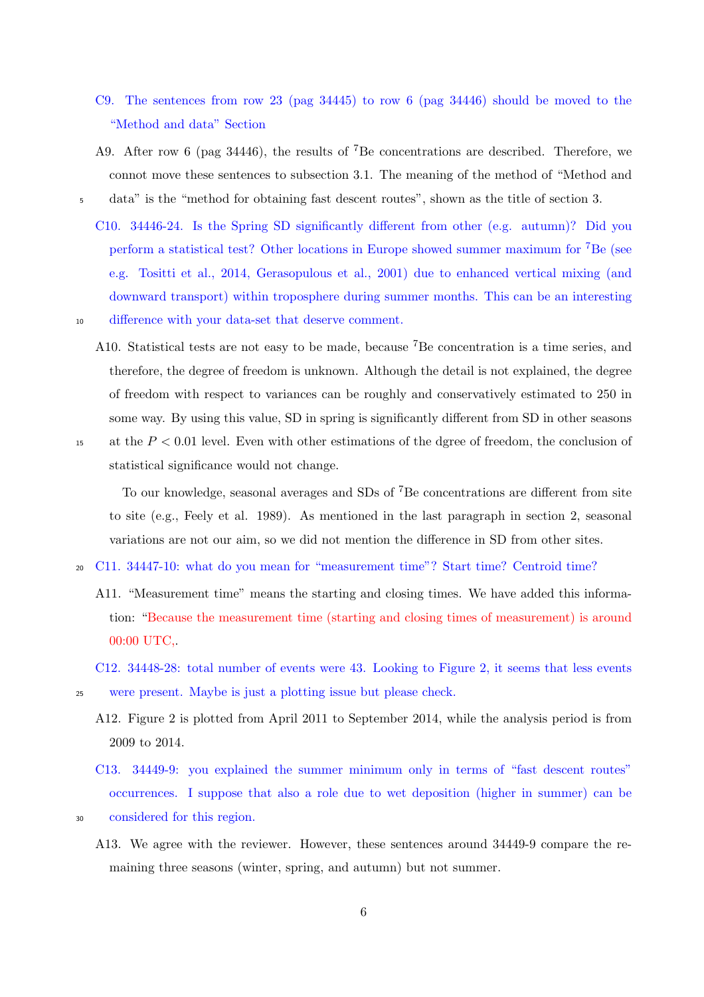- C9. The sentences from row 23 (pag 34445) to row 6 (pag 34446) should be moved to the "Method and data" Section
- A9. After row 6 (pag 34446), the results of <sup>7</sup>Be concentrations are described. Therefore, we connot move these sentences to subsection 3.1. The meaning of the method of "Method and <sup>5</sup> data" is the "method for obtaining fast descent routes", shown as the title of section 3.
	- C10. 34446-24. Is the Spring SD significantly different from other (e.g. autumn)? Did you perform a statistical test? Other locations in Europe showed summer maximum for <sup>7</sup>Be (see e.g. Tositti et al., 2014, Gerasopulous et al., 2001) due to enhanced vertical mixing (and downward transport) within troposphere during summer months. This can be an interesting
- 
- <sup>10</sup> difference with your data-set that deserve comment.
- A10. Statistical tests are not easy to be made, because <sup>7</sup>Be concentration is a time series, and therefore, the degree of freedom is unknown. Although the detail is not explained, the degree of freedom with respect to variances can be roughly and conservatively estimated to 250 in some way. By using this value, SD in spring is significantly different from SD in other seasons <sup>15</sup> at the *P <* 0*.*01 level. Even with other estimations of the dgree of freedom, the conclusion of

statistical significance would not change.

To our knowledge, seasonal averages and SDs of <sup>7</sup>Be concentrations are different from site to site (e.g., Feely et al. 1989). As mentioned in the last paragraph in section 2, seasonal variations are not our aim, so we did not mention the difference in SD from other sites.

- <sup>20</sup> C11. 34447-10: what do you mean for "measurement time"? Start time? Centroid time?
	- A11. "Measurement time" means the starting and closing times. We have added this information: "Because the measurement time (starting and closing times of measurement) is around 00:00 UTC,.

- A12. Figure 2 is plotted from April 2011 to September 2014, while the analysis period is from 2009 to 2014.
- C13. 34449-9: you explained the summer minimum only in terms of "fast descent routes" occurrences. I suppose that also a role due to wet deposition (higher in summer) can be
- <sup>30</sup> considered for this region.
	- A13. We agree with the reviewer. However, these sentences around 34449-9 compare the remaining three seasons (winter, spring, and autumn) but not summer.

C12. 34448-28: total number of events were 43. Looking to Figure 2, it seems that less events <sup>25</sup> were present. Maybe is just a plotting issue but please check.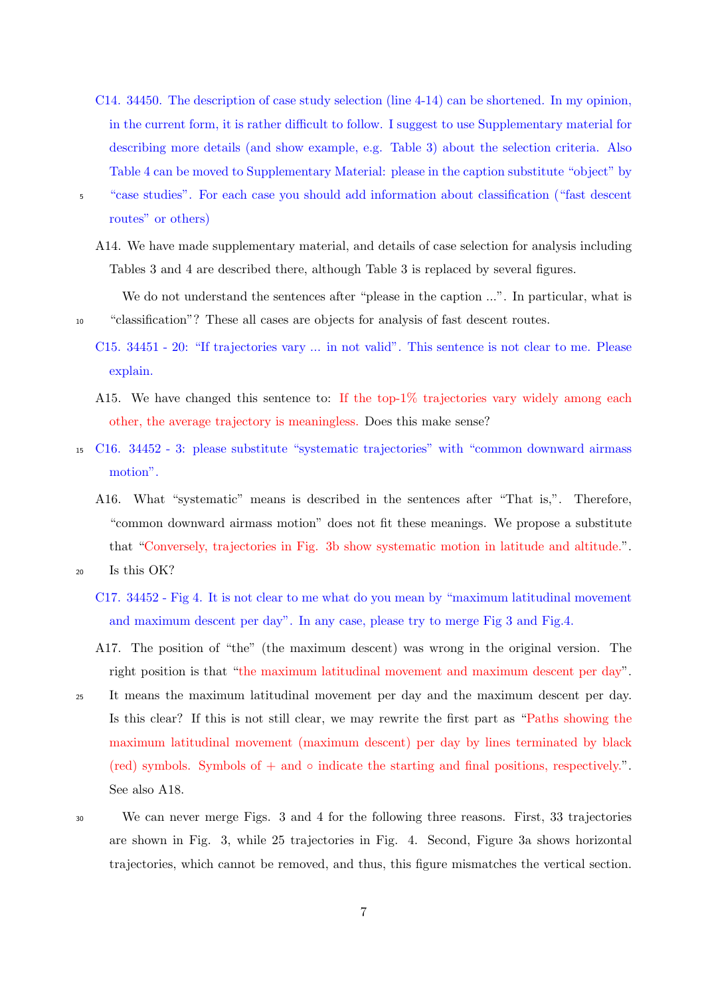- C14. 34450. The description of case study selection (line 4-14) can be shortened. In my opinion, in the current form, it is rather difficult to follow. I suggest to use Supplementary material for describing more details (and show example, e.g. Table 3) about the selection criteria. Also Table 4 can be moved to Supplementary Material: please in the caption substitute "object" by
- <sup>5</sup> "case studies". For each case you should add information about classification ("fast descent routes" or others)
	- A14. We have made supplementary material, and details of case selection for analysis including Tables 3 and 4 are described there, although Table 3 is replaced by several figures.
- We do not understand the sentences after "please in the caption ...". In particular, what is <sup>10</sup> "classification"? These all cases are objects for analysis of fast descent routes.
	- C15. 34451 20: "If trajectories vary ... in not valid". This sentence is not clear to me. Please explain.
	- A15. We have changed this sentence to: If the top-1% trajectories vary widely among each other, the average trajectory is meaningless. Does this make sense?
- <sup>15</sup> C16. 34452 3: please substitute "systematic trajectories" with "common downward airmass motion".
	- A16. What "systematic" means is described in the sentences after "That is,". Therefore, "common downward airmass motion" does not fit these meanings. We propose a substitute that "Conversely, trajectories in Fig. 3b show systematic motion in latitude and altitude.".
- <sup>20</sup> Is this OK?
	- C17. 34452 Fig 4. It is not clear to me what do you mean by "maximum latitudinal movement and maximum descent per day". In any case, please try to merge Fig 3 and Fig.4.
	- A17. The position of "the" (the maximum descent) was wrong in the original version. The right position is that "the maximum latitudinal movement and maximum descent per day".
- <sup>25</sup> It means the maximum latitudinal movement per day and the maximum descent per day. Is this clear? If this is not still clear, we may rewrite the first part as "Paths showing the maximum latitudinal movement (maximum descent) per day by lines terminated by black (red) symbols. Symbols of + and *◦* indicate the starting and final positions, respectively.". See also A18.
- <sup>30</sup> We can never merge Figs. 3 and 4 for the following three reasons. First, 33 trajectories are shown in Fig. 3, while 25 trajectories in Fig. 4. Second, Figure 3a shows horizontal trajectories, which cannot be removed, and thus, this figure mismatches the vertical section.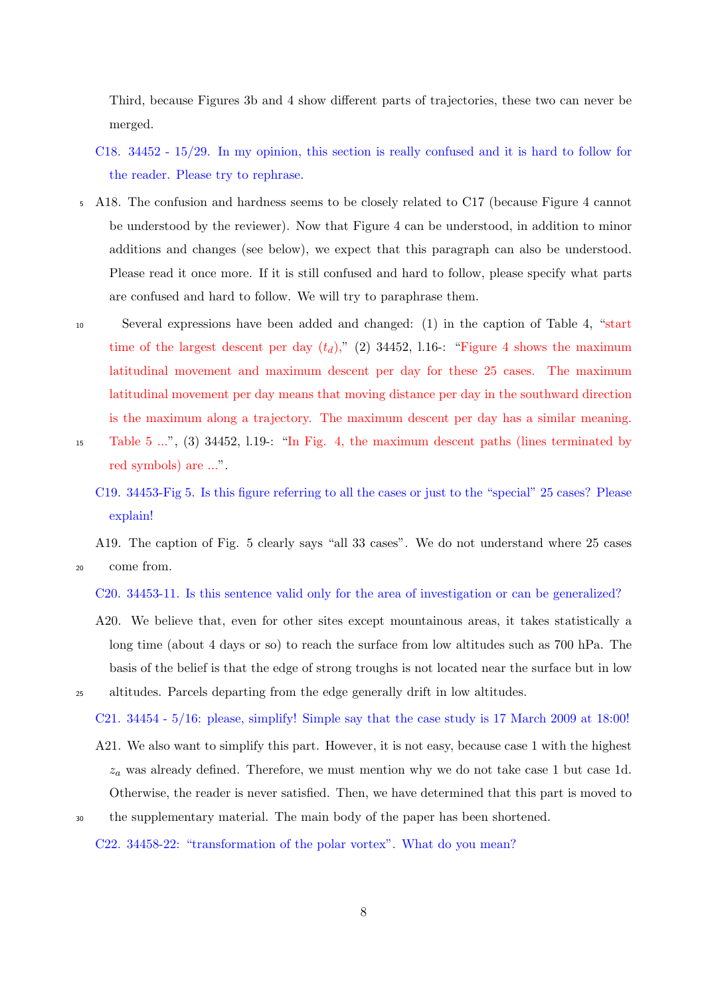Third, because Figures 3b and 4 show different parts of trajectories, these two can never be merged.

- C18. 34452 15/29. In my opinion, this section is really confused and it is hard to follow for the reader. Please try to rephrase.
- <sup>5</sup> A18. The confusion and hardness seems to be closely related to C17 (because Figure 4 cannot be understood by the reviewer). Now that Figure 4 can be understood, in addition to minor additions and changes (see below), we expect that this paragraph can also be understood. Please read it once more. If it is still confused and hard to follow, please specify what parts are confused and hard to follow. We will try to paraphrase them.
- <sup>10</sup> Several expressions have been added and changed: (1) in the caption of Table 4, "start time of the largest descent per day  $(t_d)$ ," (2) 34452, l.16-: "Figure 4 shows the maximum latitudinal movement and maximum descent per day for these 25 cases. The maximum latitudinal movement per day means that moving distance per day in the southward direction is the maximum along a trajectory. The maximum descent per day has a similar meaning. <sup>15</sup> Table 5 ...", (3) 34452, l.19-: "In Fig. 4, the maximum descent paths (lines terminated by red symbols) are ...".
	- C19. 34453-Fig 5. Is this figure referring to all the cases or just to the "special" 25 cases? Please explain!

A19. The caption of Fig. 5 clearly says "all 33 cases". We do not understand where 25 cases

<sup>20</sup> come from.

C20. 34453-11. Is this sentence valid only for the area of investigation or can be generalized?

A20. We believe that, even for other sites except mountainous areas, it takes statistically a long time (about 4 days or so) to reach the surface from low altitudes such as 700 hPa. The basis of the belief is that the edge of strong troughs is not located near the surface but in low <sup>25</sup> altitudes. Parcels departing from the edge generally drift in low altitudes.

C21. 34454 - 5/16: please, simplify! Simple say that the case study is 17 March 2009 at 18:00!

- A21. We also want to simplify this part. However, it is not easy, because case 1 with the highest *z<sup>a</sup>* was already defined. Therefore, we must mention why we do not take case 1 but case 1d. Otherwise, the reader is never satisfied. Then, we have determined that this part is moved to
- <sup>30</sup> the supplementary material. The main body of the paper has been shortened.
	- C22. 34458-22: "transformation of the polar vortex". What do you mean?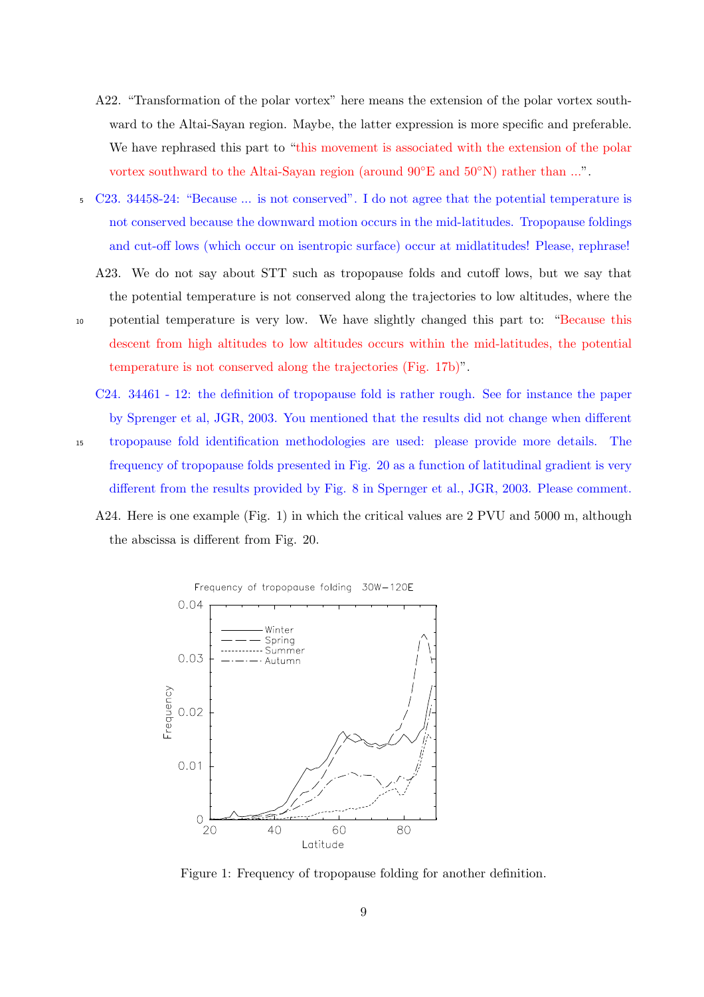- A22. "Transformation of the polar vortex" here means the extension of the polar vortex southward to the Altai-Sayan region. Maybe, the latter expression is more specific and preferable. We have rephrased this part to "this movement is associated with the extension of the polar vortex southward to the Altai-Sayan region (around 90*◦*E and 50*◦*N) rather than ...".
- <sup>5</sup> C23. 34458-24: "Because ... is not conserved". I do not agree that the potential temperature is not conserved because the downward motion occurs in the mid-latitudes. Tropopause foldings and cut-off lows (which occur on isentropic surface) occur at midlatitudes! Please, rephrase!
	- A23. We do not say about STT such as tropopause folds and cutoff lows, but we say that the potential temperature is not conserved along the trajectories to low altitudes, where the
- <sup>10</sup> potential temperature is very low. We have slightly changed this part to: "Because this descent from high altitudes to low altitudes occurs within the mid-latitudes, the potential temperature is not conserved along the trajectories (Fig. 17b)".
	- C24. 34461 12: the definition of tropopause fold is rather rough. See for instance the paper by Sprenger et al, JGR, 2003. You mentioned that the results did not change when different
- <sup>15</sup> tropopause fold identification methodologies are used: please provide more details. The frequency of tropopause folds presented in Fig. 20 as a function of latitudinal gradient is very different from the results provided by Fig. 8 in Spernger et al., JGR, 2003. Please comment.
	- A24. Here is one example (Fig. 1) in which the critical values are 2 PVU and 5000 m, although the abscissa is different from Fig. 20.



Figure 1: Frequency of tropopause folding for another definition.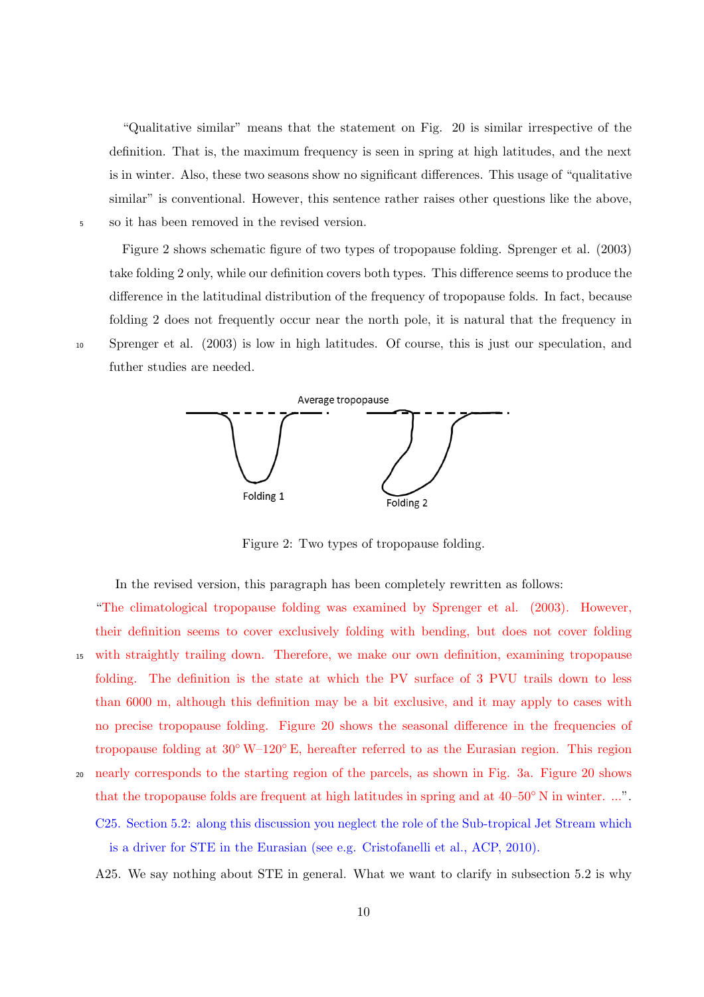"Qualitative similar" means that the statement on Fig. 20 is similar irrespective of the definition. That is, the maximum frequency is seen in spring at high latitudes, and the next is in winter. Also, these two seasons show no significant differences. This usage of "qualitative similar" is conventional. However, this sentence rather raises other questions like the above, <sup>5</sup> so it has been removed in the revised version.

Figure 2 shows schematic figure of two types of tropopause folding. Sprenger et al. (2003) take folding 2 only, while our definition covers both types. This difference seems to produce the difference in the latitudinal distribution of the frequency of tropopause folds. In fact, because folding 2 does not frequently occur near the north pole, it is natural that the frequency in <sup>10</sup> Sprenger et al. (2003) is low in high latitudes. Of course, this is just our speculation, and futher studies are needed.



Figure 2: Two types of tropopause folding.

In the revised version, this paragraph has been completely rewritten as follows:

"The climatological tropopause folding was examined by Sprenger et al. (2003). However, their definition seems to cover exclusively folding with bending, but does not cover folding <sup>15</sup> with straightly trailing down. Therefore, we make our own definition, examining tropopause folding. The definition is the state at which the PV surface of 3 PVU trails down to less than 6000 m, although this definition may be a bit exclusive, and it may apply to cases with no precise tropopause folding. Figure 20 shows the seasonal difference in the frequencies of tropopause folding at 30*◦* W–120*◦* E, hereafter referred to as the Eurasian region. This region

<sup>20</sup> nearly corresponds to the starting region of the parcels, as shown in Fig. 3a. Figure 20 shows that the tropopause folds are frequent at high latitudes in spring and at 40–50*◦* N in winter. ...". C25. Section 5.2: along this discussion you neglect the role of the Sub-tropical Jet Stream which is a driver for STE in the Eurasian (see e.g. Cristofanelli et al., ACP, 2010).

A25. We say nothing about STE in general. What we want to clarify in subsection 5.2 is why